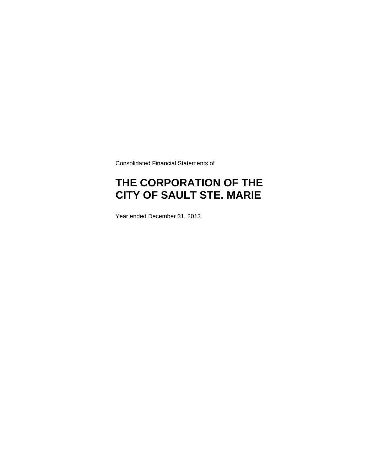Consolidated Financial Statements of

## **THE CORPORATION OF THE CITY OF SAULT STE. MARIE**

Year ended December 31, 2013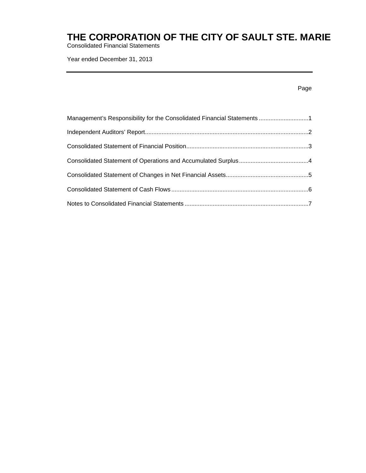Consolidated Financial Statements

Year ended December 31, 2013

| Management's Responsibility for the Consolidated Financial Statements 1 |  |
|-------------------------------------------------------------------------|--|
|                                                                         |  |
|                                                                         |  |
|                                                                         |  |
|                                                                         |  |
|                                                                         |  |
|                                                                         |  |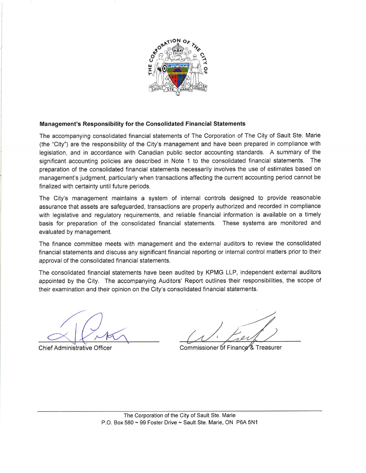

#### Management's Responsibility for the Consolidated Financial Statements

The accompanying consolidated financial statements of The Corporation of The City of Sault Ste. Marie (the "City") are the responsibility of the City's management and have been prepared in compliance with legislation, and in accordance with Canadian public sector accounting standards. A summary of the significant accounting policies are described in Note 1 to the consolidated financial statements. The preparation of the consolidated financial statements necessarily involves the use of estimates based on management's judgment, particularly when transactions affecting the current accounting period cannot be finalized with certainty until future periods.

The City's management maintains a system of internal controls designed to provide reasonable assurance that assets are safeguarded, transactions are properly authorized and recorded in compliance with legislative and regulatory requirements, and reliable financial information is available on a timely basis for preparation of the consolidated financial statements. These systems are monitored and evaluated by management.

The finance committee meets with management and the external auditors to review the consolidated financial statements and discuss any significant financial reporting or internal control matters prior to their approval of the consolidated financial statements.

The consolidated financial statements have been audited by KPMG LLP, independent external auditors appointed by the City. The accompanying Auditors' Report outlines their responsibilities, the scope of their examination and their opinion on the City's consolidated financial statements.

**Chief Administrative Officer** 

Commissioner of Finance & Treasurer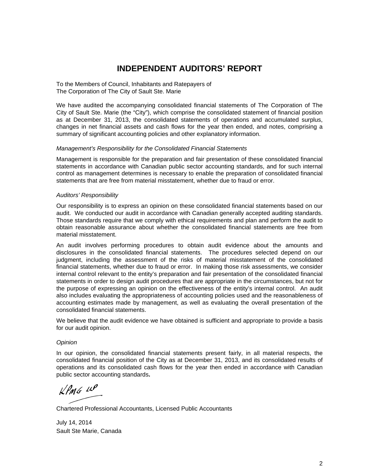### **INDEPENDENT AUDITORS' REPORT**

To the Members of Council, Inhabitants and Ratepayers of The Corporation of The City of Sault Ste. Marie

We have audited the accompanying consolidated financial statements of The Corporation of The City of Sault Ste. Marie (the "City"), which comprise the consolidated statement of financial position as at December 31, 2013, the consolidated statements of operations and accumulated surplus, changes in net financial assets and cash flows for the year then ended, and notes, comprising a summary of significant accounting policies and other explanatory information.

#### *Management's Responsibility for the Consolidated Financial Statements*

Management is responsible for the preparation and fair presentation of these consolidated financial statements in accordance with Canadian public sector accounting standards, and for such internal control as management determines is necessary to enable the preparation of consolidated financial statements that are free from material misstatement, whether due to fraud or error.

#### *Auditors' Responsibility*

Our responsibility is to express an opinion on these consolidated financial statements based on our audit. We conducted our audit in accordance with Canadian generally accepted auditing standards. Those standards require that we comply with ethical requirements and plan and perform the audit to obtain reasonable assurance about whether the consolidated financial statements are free from material misstatement.

An audit involves performing procedures to obtain audit evidence about the amounts and disclosures in the consolidated financial statements. The procedures selected depend on our judgment, including the assessment of the risks of material misstatement of the consolidated financial statements, whether due to fraud or error. In making those risk assessments, we consider internal control relevant to the entity's preparation and fair presentation of the consolidated financial statements in order to design audit procedures that are appropriate in the circumstances, but not for the purpose of expressing an opinion on the effectiveness of the entity's internal control.An audit also includes evaluating the appropriateness of accounting policies used and the reasonableness of accounting estimates made by management, as well as evaluating the overall presentation of the consolidated financial statements.

We believe that the audit evidence we have obtained is sufficient and appropriate to provide a basis for our audit opinion.

#### *Opinion*

In our opinion, the consolidated financial statements present fairly, in all material respects, the consolidated financial position of the City as at December 31, 2013, and its consolidated results of operations and its consolidated cash flows for the year then ended in accordance with Canadian public sector accounting standards**.** 

 $k$ *PMG 14* $^{\rho}$ 

Chartered Professional Accountants, Licensed Public Accountants

July 14, 2014 Sault Ste Marie, Canada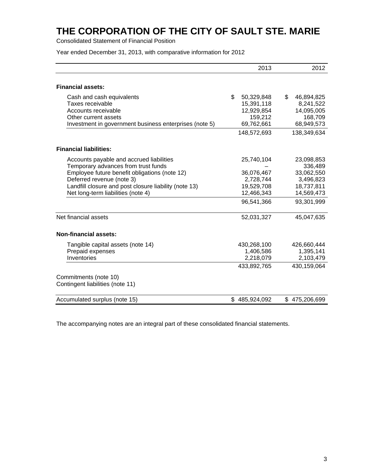Consolidated Statement of Financial Position

Year ended December 31, 2013, with comparative information for 2012

|                                                                                                                                                                                                                                                                                      | 2013                                                                                          | 2012                                                                                                     |
|--------------------------------------------------------------------------------------------------------------------------------------------------------------------------------------------------------------------------------------------------------------------------------------|-----------------------------------------------------------------------------------------------|----------------------------------------------------------------------------------------------------------|
|                                                                                                                                                                                                                                                                                      |                                                                                               |                                                                                                          |
| <b>Financial assets:</b>                                                                                                                                                                                                                                                             |                                                                                               |                                                                                                          |
| Cash and cash equivalents<br>Taxes receivable<br>Accounts receivable<br>Other current assets<br>Investment in government business enterprises (note 5)                                                                                                                               | \$<br>50,329,848<br>15,391,118<br>12,929,854<br>159,212<br>69,762,661<br>148,572,693          | \$<br>46,894,825<br>8,241,522<br>14,095,005<br>168,709<br>68,949,573<br>138,349,634                      |
|                                                                                                                                                                                                                                                                                      |                                                                                               |                                                                                                          |
| <b>Financial liabilities:</b>                                                                                                                                                                                                                                                        |                                                                                               |                                                                                                          |
| Accounts payable and accrued liabilities<br>Temporary advances from trust funds<br>Employee future benefit obligations (note 12)<br>Deferred revenue (note 3)<br>Landfill closure and post closure liability (note 13)<br>Net long-term liabilities (note 4)<br>Net financial assets | 25,740,104<br>36,076,467<br>2,728,744<br>19,529,708<br>12,466,343<br>96,541,366<br>52,031,327 | 23,098,853<br>336,489<br>33,062,550<br>3,496,823<br>18,737,811<br>14,569,473<br>93,301,999<br>45,047,635 |
| <b>Non-financial assets:</b>                                                                                                                                                                                                                                                         |                                                                                               |                                                                                                          |
| Tangible capital assets (note 14)<br>Prepaid expenses<br>Inventories                                                                                                                                                                                                                 | 430,268,100<br>1,406,586<br>2,218,079<br>433,892,765                                          | 426,660,444<br>1,395,141<br>2,103,479<br>430,159,064                                                     |
| Commitments (note 10)<br>Contingent liabilities (note 11)                                                                                                                                                                                                                            |                                                                                               |                                                                                                          |
| Accumulated surplus (note 15)                                                                                                                                                                                                                                                        | \$485,924,092                                                                                 | \$475,206,699                                                                                            |

The accompanying notes are an integral part of these consolidated financial statements.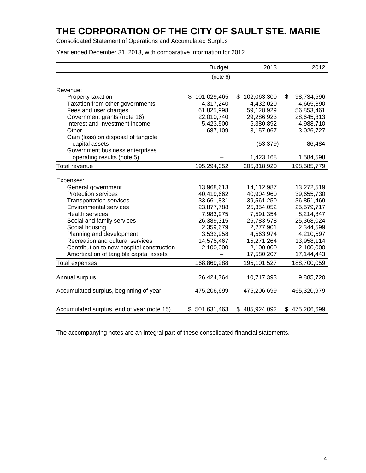Consolidated Statement of Operations and Accumulated Surplus

Year ended December 31, 2013, with comparative information for 2012

|                                            | <b>Budget</b>     | 2013              | 2012              |
|--------------------------------------------|-------------------|-------------------|-------------------|
|                                            | (note 6)          |                   |                   |
| Revenue:                                   |                   |                   |                   |
| Property taxation                          | 101,029,465<br>\$ | 102,063,300<br>\$ | \$<br>98,734,596  |
| Taxation from other governments            | 4,317,240         | 4,432,020         | 4,665,890         |
| Fees and user charges                      | 61,825,998        | 59,128,929        | 56,853,461        |
| Government grants (note 16)                | 22,010,740        | 29,286,923        | 28,645,313        |
| Interest and investment income             | 5,423,500         | 6,380,892         | 4,988,710         |
| Other                                      | 687,109           | 3,157,067         | 3,026,727         |
| Gain (loss) on disposal of tangible        |                   |                   |                   |
| capital assets                             |                   | (53, 379)         | 86,484            |
| Government business enterprises            |                   |                   |                   |
| operating results (note 5)                 |                   | 1,423,168         | 1,584,598         |
| Total revenue                              | 195,294,052       | 205,818,920       | 198,585,779       |
|                                            |                   |                   |                   |
| Expenses:                                  |                   |                   |                   |
| General government                         | 13,968,613        | 14,112,987        | 13,272,519        |
| <b>Protection services</b>                 | 40,419,662        | 40,904,960        | 39,655,730        |
| <b>Transportation services</b>             | 33,661,831        | 39,561,250        | 36,851,469        |
| <b>Environmental services</b>              | 23,877,788        | 25,354,052        | 25,579,717        |
| <b>Health services</b>                     | 7,983,975         | 7,591,354         | 8,214,847         |
| Social and family services                 | 26,389,315        | 25,783,578        | 25,368,024        |
| Social housing                             | 2,359,679         | 2,277,901         | 2,344,599         |
| Planning and development                   | 3,532,958         | 4,563,974         | 4,210,597         |
| Recreation and cultural services           | 14,575,467        | 15,271,264        | 13,958,114        |
| Contribution to new hospital construction  | 2,100,000         | 2,100,000         | 2,100,000         |
| Amortization of tangible capital assets    |                   | 17,580,207        | 17,144,443        |
| <b>Total expenses</b>                      | 168,869,288       | 195,101,527       | 188,700,059       |
|                                            |                   |                   |                   |
| Annual surplus                             | 26,424,764        | 10,717,393        | 9,885,720         |
| Accumulated surplus, beginning of year     | 475,206,699       | 475,206,699       | 465,320,979       |
|                                            |                   |                   |                   |
| Accumulated surplus, end of year (note 15) | \$501,631,463     | \$485,924,092     | 475,206,699<br>\$ |

The accompanying notes are an integral part of these consolidated financial statements.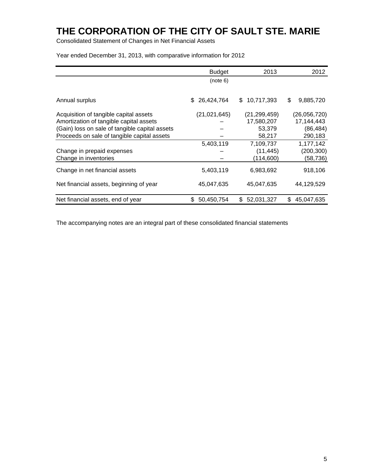Consolidated Statement of Changes in Net Financial Assets

Year ended December 31, 2013, with comparative information for 2012

|                                                | <b>Budget</b>    | 2013              | 2012              |
|------------------------------------------------|------------------|-------------------|-------------------|
|                                                | (note 6)         |                   |                   |
|                                                |                  |                   |                   |
| Annual surplus                                 | 26,424,764<br>\$ | 10,717,393<br>S.  | \$<br>9,885,720   |
| Acquisition of tangible capital assets         | (21, 021, 645)   | (21, 299, 459)    | (26,056,720)      |
| Amortization of tangible capital assets        |                  | 17,580,207        | 17,144,443        |
| (Gain) loss on sale of tangible capital assets |                  | 53,379            | (86, 484)         |
| Proceeds on sale of tangible capital assets    |                  | 58,217            | 290,183           |
|                                                | 5,403,119        | 7,109,737         | 1,177,142         |
| Change in prepaid expenses                     |                  | (11, 445)         | (200, 300)        |
| Change in inventories                          |                  | (114,600)         | (58, 736)         |
| Change in net financial assets                 | 5,403,119        | 6,983,692         | 918,106           |
| Net financial assets, beginning of year        | 45,047,635       | 45,047,635        | 44,129,529        |
| Net financial assets, end of year              | 50,450,754<br>S  | 52,031,327<br>\$. | 45,047,635<br>\$. |

The accompanying notes are an integral part of these consolidated financial statements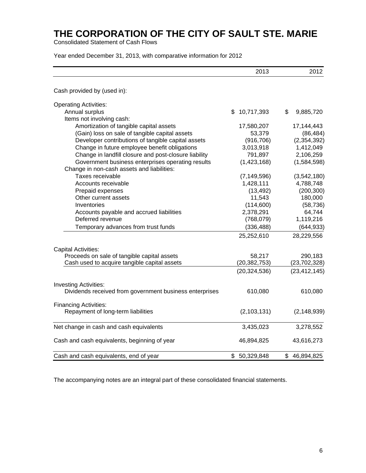Consolidated Statement of Cash Flows

Year ended December 31, 2013, with comparative information for 2012

|                                                         | 2013             | 2012            |
|---------------------------------------------------------|------------------|-----------------|
| Cash provided by (used in):                             |                  |                 |
| <b>Operating Activities:</b>                            |                  |                 |
| Annual surplus                                          | 10,717,393<br>\$ | \$<br>9,885,720 |
| Items not involving cash:                               |                  |                 |
| Amortization of tangible capital assets                 | 17,580,207       | 17,144,443      |
| (Gain) loss on sale of tangible capital assets          | 53,379           | (86, 484)       |
| Developer contributions of tangible capital assets      | (916, 706)       | (2, 354, 392)   |
| Change in future employee benefit obligations           | 3,013,918        | 1,412,049       |
| Change in landfill closure and post-closure liability   | 791,897          | 2,106,259       |
| Government business enterprises operating results       | (1,423,168)      | (1,584,598)     |
| Change in non-cash assets and liabilities:              |                  |                 |
| Taxes receivable                                        | (7, 149, 596)    | (3,542,180)     |
| Accounts receivable                                     | 1,428,111        | 4,788,748       |
| Prepaid expenses                                        | (13, 492)        | (200, 300)      |
| Other current assets                                    | 11,543           | 180,000         |
| Inventories                                             | (114,600)        | (58, 736)       |
| Accounts payable and accrued liabilities                | 2,378,291        | 64,744          |
| Deferred revenue                                        | (768, 079)       | 1,119,216       |
| Temporary advances from trust funds                     | (336, 488)       | (644, 933)      |
|                                                         | 25,252,610       | 28,229,556      |
| <b>Capital Activities:</b>                              |                  |                 |
| Proceeds on sale of tangible capital assets             | 58,217           | 290,183         |
| Cash used to acquire tangible capital assets            | (20, 382, 753)   | (23, 702, 328)  |
|                                                         | (20, 324, 536)   | (23, 412, 145)  |
| <b>Investing Activities:</b>                            |                  |                 |
| Dividends received from government business enterprises | 610,080          | 610,080         |
| <b>Financing Activities:</b>                            |                  |                 |
| Repayment of long-term liabilities                      | (2,103,131)      | (2, 148, 939)   |
| Net change in cash and cash equivalents                 | 3,435,023        | 3,278,552       |
| Cash and cash equivalents, beginning of year            | 46,894,825       | 43,616,273      |
| Cash and cash equivalents, end of year                  | \$50,329,848     | \$46,894,825    |

The accompanying notes are an integral part of these consolidated financial statements.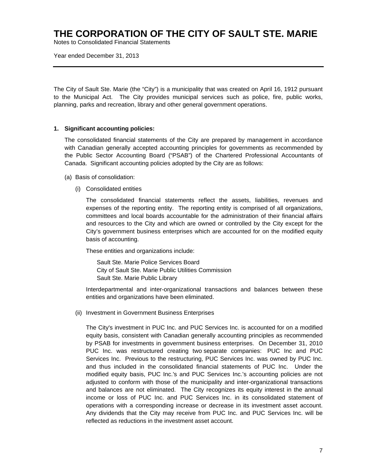Notes to Consolidated Financial Statements

Year ended December 31, 2013

The City of Sault Ste. Marie (the "City") is a municipality that was created on April 16, 1912 pursuant to the Municipal Act. The City provides municipal services such as police, fire, public works, planning, parks and recreation, library and other general government operations.

#### **1. Significant accounting policies:**

The consolidated financial statements of the City are prepared by management in accordance with Canadian generally accepted accounting principles for governments as recommended by the Public Sector Accounting Board ("PSAB") of the Chartered Professional Accountants of Canada. Significant accounting policies adopted by the City are as follows:

- (a) Basis of consolidation:
	- (i) Consolidated entities

 The consolidated financial statements reflect the assets, liabilities, revenues and expenses of the reporting entity. The reporting entity is comprised of all organizations, committees and local boards accountable for the administration of their financial affairs and resources to the City and which are owned or controlled by the City except for the City's government business enterprises which are accounted for on the modified equity basis of accounting.

These entities and organizations include:

 Sault Ste. Marie Police Services Board City of Sault Ste. Marie Public Utilities Commission Sault Ste. Marie Public Library

 Interdepartmental and inter-organizational transactions and balances between these entities and organizations have been eliminated.

(ii) Investment in Government Business Enterprises

The City's investment in PUC Inc. and PUC Services Inc. is accounted for on a modified equity basis, consistent with Canadian generally accounting principles as recommended by PSAB for investments in government business enterprises. On December 31, 2010 PUC Inc. was restructured creating two separate companies: PUC Inc and PUC Services Inc. Previous to the restructuring, PUC Services Inc. was owned by PUC Inc. and thus included in the consolidated financial statements of PUC Inc. Under the modified equity basis, PUC Inc.'s and PUC Services Inc.'s accounting policies are not adjusted to conform with those of the municipality and inter-organizational transactions and balances are not eliminated. The City recognizes its equity interest in the annual income or loss of PUC Inc. and PUC Services Inc. in its consolidated statement of operations with a corresponding increase or decrease in its investment asset account. Any dividends that the City may receive from PUC Inc. and PUC Services Inc. will be reflected as reductions in the investment asset account.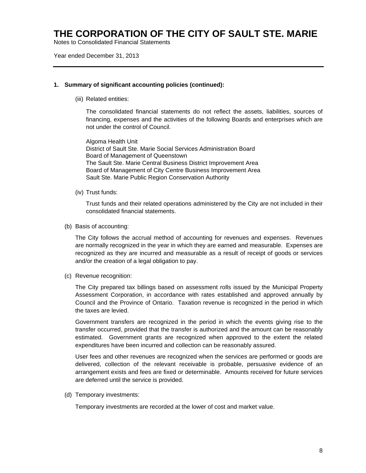Notes to Consolidated Financial Statements

Year ended December 31, 2013

#### **1. Summary of significant accounting policies (continued):**

(iii) Related entities:

 The consolidated financial statements do not reflect the assets, liabilities, sources of financing, expenses and the activities of the following Boards and enterprises which are not under the control of Council.

 Algoma Health Unit District of Sault Ste. Marie Social Services Administration Board Board of Management of Queenstown The Sault Ste. Marie Central Business District Improvement Area Board of Management of City Centre Business Improvement Area Sault Ste. Marie Public Region Conservation Authority

(iv) Trust funds:

Trust funds and their related operations administered by the City are not included in their consolidated financial statements.

(b) Basis of accounting:

The City follows the accrual method of accounting for revenues and expenses. Revenues are normally recognized in the year in which they are earned and measurable. Expenses are recognized as they are incurred and measurable as a result of receipt of goods or services and/or the creation of a legal obligation to pay.

(c) Revenue recognition:

The City prepared tax billings based on assessment rolls issued by the Municipal Property Assessment Corporation, in accordance with rates established and approved annually by Council and the Province of Ontario. Taxation revenue is recognized in the period in which the taxes are levied.

Government transfers are recognized in the period in which the events giving rise to the transfer occurred, provided that the transfer is authorized and the amount can be reasonably estimated. Government grants are recognized when approved to the extent the related expenditures have been incurred and collection can be reasonably assured.

User fees and other revenues are recognized when the services are performed or goods are delivered, collection of the relevant receivable is probable, persuasive evidence of an arrangement exists and fees are fixed or determinable. Amounts received for future services are deferred until the service is provided.

(d) Temporary investments:

Temporary investments are recorded at the lower of cost and market value.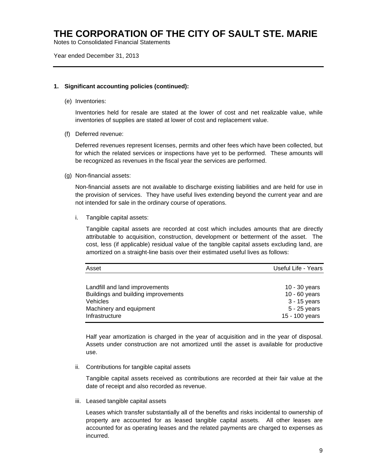Notes to Consolidated Financial Statements

Year ended December 31, 2013

#### **1. Significant accounting policies (continued):**

(e) Inventories:

Inventories held for resale are stated at the lower of cost and net realizable value, while inventories of supplies are stated at lower of cost and replacement value.

(f) Deferred revenue:

Deferred revenues represent licenses, permits and other fees which have been collected, but for which the related services or inspections have yet to be performed. These amounts will be recognized as revenues in the fiscal year the services are performed.

(g) Non-financial assets:

 Non-financial assets are not available to discharge existing liabilities and are held for use in the provision of services. They have useful lives extending beyond the current year and are not intended for sale in the ordinary course of operations.

i. Tangible capital assets:

Tangible capital assets are recorded at cost which includes amounts that are directly attributable to acquisition, construction, development or betterment of the asset. The cost, less (if applicable) residual value of the tangible capital assets excluding land, are amortized on a straight-line basis over their estimated useful lives as follows:

| Asset                               | Useful Life - Years |
|-------------------------------------|---------------------|
|                                     |                     |
| Landfill and land improvements      | $10 - 30$ years     |
| Buildings and building improvements | 10 - 60 years       |
| Vehicles                            | 3 - 15 years        |
| Machinery and equipment             | 5 - 25 years        |
| Infrastructure                      | 15 - 100 years      |

Half year amortization is charged in the year of acquisition and in the year of disposal. Assets under construction are not amortized until the asset is available for productive use.

ii. Contributions for tangible capital assets

Tangible capital assets received as contributions are recorded at their fair value at the date of receipt and also recorded as revenue.

iii. Leased tangible capital assets

Leases which transfer substantially all of the benefits and risks incidental to ownership of property are accounted for as leased tangible capital assets. All other leases are accounted for as operating leases and the related payments are charged to expenses as incurred.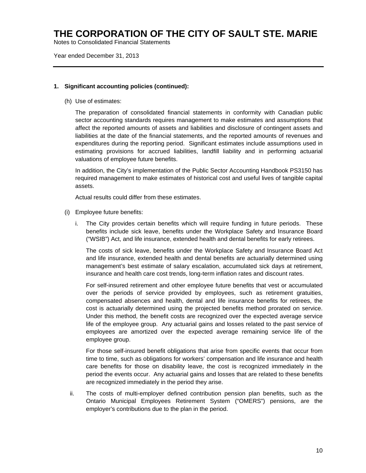Notes to Consolidated Financial Statements

Year ended December 31, 2013

#### **1. Significant accounting policies (continued):**

(h) Use of estimates:

The preparation of consolidated financial statements in conformity with Canadian public sector accounting standards requires management to make estimates and assumptions that affect the reported amounts of assets and liabilities and disclosure of contingent assets and liabilities at the date of the financial statements, and the reported amounts of revenues and expenditures during the reporting period. Significant estimates include assumptions used in estimating provisions for accrued liabilities, landfill liability and in performing actuarial valuations of employee future benefits.

In addition, the City's implementation of the Public Sector Accounting Handbook PS3150 has required management to make estimates of historical cost and useful lives of tangible capital assets.

Actual results could differ from these estimates.

- (i) Employee future benefits:
	- i. The City provides certain benefits which will require funding in future periods. These benefits include sick leave, benefits under the Workplace Safety and Insurance Board ("WSIB") Act, and life insurance, extended health and dental benefits for early retirees.

 The costs of sick leave, benefits under the Workplace Safety and Insurance Board Act and life insurance, extended health and dental benefits are actuarially determined using management's best estimate of salary escalation, accumulated sick days at retirement, insurance and health care cost trends, long-term inflation rates and discount rates.

 For self-insured retirement and other employee future benefits that vest or accumulated over the periods of service provided by employees, such as retirement gratuities, compensated absences and health, dental and life insurance benefits for retirees, the cost is actuarially determined using the projected benefits method prorated on service. Under this method, the benefit costs are recognized over the expected average service life of the employee group. Any actuarial gains and losses related to the past service of employees are amortized over the expected average remaining service life of the employee group.

 For those self-insured benefit obligations that arise from specific events that occur from time to time, such as obligations for workers' compensation and life insurance and health care benefits for those on disability leave, the cost is recognized immediately in the period the events occur. Any actuarial gains and losses that are related to these benefits are recognized immediately in the period they arise.

ii. The costs of multi-employer defined contribution pension plan benefits, such as the Ontario Municipal Employees Retirement System ("OMERS") pensions, are the employer's contributions due to the plan in the period.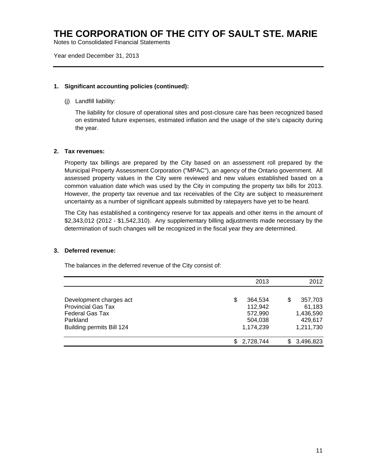Notes to Consolidated Financial Statements

Year ended December 31, 2013

#### **1. Significant accounting policies (continued):**

(j) Landfill liability:

The liability for closure of operational sites and post-closure care has been recognized based on estimated future expenses, estimated inflation and the usage of the site's capacity during the year.

#### **2. Tax revenues:**

Property tax billings are prepared by the City based on an assessment roll prepared by the Municipal Property Assessment Corporation ("MPAC"), an agency of the Ontario government. All assessed property values in the City were reviewed and new values established based on a common valuation date which was used by the City in computing the property tax bills for 2013. However, the property tax revenue and tax receivables of the City are subject to measurement uncertainty as a number of significant appeals submitted by ratepayers have yet to be heard.

The City has established a contingency reserve for tax appeals and other items in the amount of \$2,343,012 (2012 - \$1,542,310). Any supplementary billing adjustments made necessary by the determination of such changes will be recognized in the fiscal year they are determined.

#### **3. Deferred revenue:**

The balances in the deferred revenue of the City consist of:

|                                                                                            | 2013                                          | 2012                                           |
|--------------------------------------------------------------------------------------------|-----------------------------------------------|------------------------------------------------|
| Development charges act<br><b>Provincial Gas Tax</b><br><b>Federal Gas Tax</b><br>Parkland | S<br>364,534<br>112,942<br>572,990<br>504,038 | 357,703<br>S<br>61,183<br>1,436,590<br>429,617 |
| Building permits Bill 124                                                                  | 1,174,239                                     | 1,211,730                                      |
|                                                                                            | \$2,728,744                                   | \$3,496,823                                    |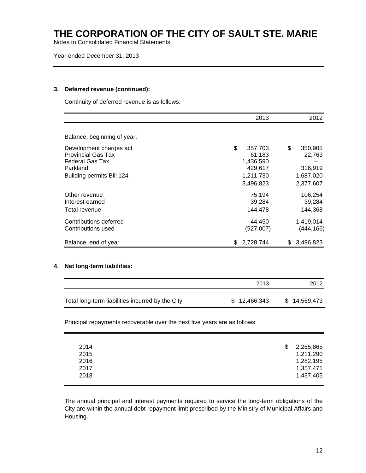Notes to Consolidated Financial Statements

Year ended December 31, 2013

#### **3. Deferred revenue (continued):**

Continuity of deferred revenue is as follows:

|                                                                                            | 2013                                            | 2012                               |
|--------------------------------------------------------------------------------------------|-------------------------------------------------|------------------------------------|
| Balance, beginning of year:                                                                |                                                 |                                    |
| Development charges act<br><b>Provincial Gas Tax</b><br><b>Federal Gas Tax</b><br>Parkland | \$<br>357,703<br>61,183<br>1,436,590<br>429,617 | \$<br>350,905<br>22,763<br>316,919 |
| Building permits Bill 124                                                                  | 1,211,730                                       | 1,687,020                          |
|                                                                                            | 3,496,823                                       | 2,377,607                          |
| Other revenue<br>Interest earned                                                           | 75,194<br>39,284                                | 106,254<br>39,284                  |
| Total revenue                                                                              | 144,478                                         | 144,368                            |
| Contributions deferred<br>Contributions used                                               | 44,450<br>(927,007)                             | 1,419,014<br>(444, 166)            |
| Balance, end of year                                                                       | 2,728,744<br>\$                                 | 3,496,823<br>\$                    |

#### **4. Net long-term liabilities:**

|                                                  | 2013         | 2012         |
|--------------------------------------------------|--------------|--------------|
| Total long-term liabilities incurred by the City | \$12,466,343 | \$14,569,473 |

Principal repayments recoverable over the next five years are as follows:

| 2014 | \$ | 2,265,865 |
|------|----|-----------|
| 2015 |    | 1,211,290 |
| 2016 |    | 1,282,195 |
| 2017 |    | 1,357,471 |
| 2018 |    | 1,437,405 |
|      |    |           |

The annual principal and interest payments required to service the long-term obligations of the City are within the annual debt repayment limit prescribed by the Ministry of Municipal Affairs and Housing.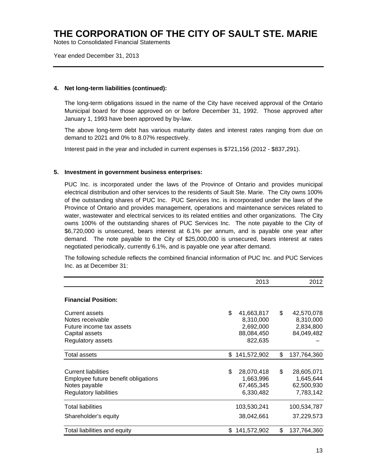Notes to Consolidated Financial Statements

Year ended December 31, 2013

#### **4. Net long-term liabilities (continued):**

The long-term obligations issued in the name of the City have received approval of the Ontario Municipal board for those approved on or before December 31, 1992. Those approved after January 1, 1993 have been approved by by-law.

The above long-term debt has various maturity dates and interest rates ranging from due on demand to 2021 and 0% to 8.07% respectively.

Interest paid in the year and included in current expenses is \$721,156 (2012 - \$837,291).

#### **5. Investment in government business enterprises:**

PUC Inc. is incorporated under the laws of the Province of Ontario and provides municipal electrical distribution and other services to the residents of Sault Ste. Marie. The City owns 100% of the outstanding shares of PUC Inc. PUC Services Inc. is incorporated under the laws of the Province of Ontario and provides management, operations and maintenance services related to water, wastewater and electrical services to its related entities and other organizations. The City owns 100% of the outstanding shares of PUC Services Inc. The note payable to the City of \$6,720,000 is unsecured, bears interest at 6.1% per annum, and is payable one year after demand. The note payable to the City of \$25,000,000 is unsecured, bears interest at rates negotiated periodically, currently 6.1%, and is payable one year after demand.

The following schedule reflects the combined financial information of PUC Inc. and PUC Services Inc. as at December 31:

|                                                                                                                     |     | 2013                                                          | 2012                                                     |
|---------------------------------------------------------------------------------------------------------------------|-----|---------------------------------------------------------------|----------------------------------------------------------|
| <b>Financial Position:</b>                                                                                          |     |                                                               |                                                          |
| <b>Current assets</b><br>Notes receivable<br>Future income tax assets<br>Capital assets<br>Regulatory assets        | \$  | 41,663,817<br>8,310,000<br>2,692,000<br>88,084,450<br>822,635 | \$<br>42,570,078<br>8,310,000<br>2,834,800<br>84,049,482 |
| <b>Total assets</b>                                                                                                 |     | \$141,572,902                                                 | \$<br>137,764,360                                        |
| <b>Current liabilities</b><br>Employee future benefit obligations<br>Notes payable<br><b>Regulatory liabilities</b> | \$  | 28,070,418<br>1,663,996<br>67,465,345<br>6,330,482            | \$<br>28,605,071<br>1,645,644<br>62,500,930<br>7,783,142 |
| <b>Total liabilities</b><br>Shareholder's equity                                                                    |     | 103,530,241<br>38,042,661                                     | 100,534,787<br>37,229,573                                |
| Total liabilities and equity                                                                                        | \$. | 141,572,902                                                   | \$<br>137,764,360                                        |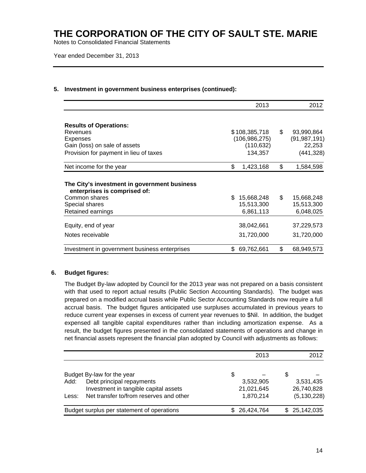Notes to Consolidated Financial Statements

Year ended December 31, 2013

#### **5. Investment in government business enterprises (continued):**

|                                                                              |     | 2013            | 2012             |
|------------------------------------------------------------------------------|-----|-----------------|------------------|
| <b>Results of Operations:</b>                                                |     |                 |                  |
| Revenues                                                                     |     | \$108,385,718   | \$<br>93,990,864 |
| <b>Expenses</b>                                                              |     | (106, 986, 275) | (91, 987, 191)   |
| Gain (loss) on sale of assets                                                |     | (110, 632)      | 22,253           |
| Provision for payment in lieu of taxes                                       |     | 134,357         | (441, 328)       |
| Net income for the year                                                      | \$  | 1,423,168       | \$<br>1,584,598  |
| The City's investment in government business<br>enterprises is comprised of: |     |                 |                  |
| Common shares                                                                | \$. | 15,668,248      | \$<br>15,668,248 |
| Special shares                                                               |     | 15,513,300      | 15,513,300       |
| Retained earnings                                                            |     | 6,861,113       | 6,048,025        |
| Equity, end of year                                                          |     | 38,042,661      | 37,229,573       |
| Notes receivable                                                             |     | 31,720,000      | 31,720,000       |
| Investment in government business enterprises                                | \$. | 69,762,661      | \$<br>68,949,573 |

#### **6. Budget figures:**

The Budget By-law adopted by Council for the 2013 year was not prepared on a basis consistent with that used to report actual results (Public Section Accounting Standards). The budget was prepared on a modified accrual basis while Public Sector Accounting Standards now require a full accrual basis. The budget figures anticipated use surpluses accumulated in previous years to reduce current year expenses in excess of current year revenues to \$Nil. In addition, the budget expensed all tangible capital expenditures rather than including amortization expense. As a result, the budget figures presented in the consolidated statements of operations and change in net financial assets represent the financial plan adopted by Council with adjustments as follows:

|       |                                                                    | 2013                    | 2012                    |
|-------|--------------------------------------------------------------------|-------------------------|-------------------------|
|       | Budget By-law for the year                                         | \$                      | \$                      |
| Add:  | Debt principal repayments<br>Investment in tangible capital assets | 3,532,905<br>21,021,645 | 3,531,435<br>26,740,828 |
| Less: | Net transfer to/from reserves and other                            | 1,870,214               | (5, 130, 228)           |
|       | Budget surplus per statement of operations                         | 26.424.764              | \$25,142,035            |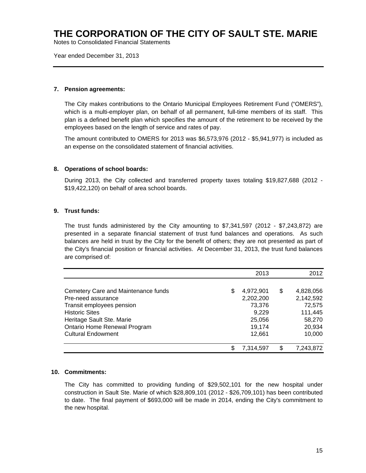Notes to Consolidated Financial Statements

Year ended December 31, 2013

#### **7. Pension agreements:**

The City makes contributions to the Ontario Municipal Employees Retirement Fund ("OMERS"), which is a multi-employer plan, on behalf of all permanent, full-time members of its staff. This plan is a defined benefit plan which specifies the amount of the retirement to be received by the employees based on the length of service and rates of pay.

The amount contributed to OMERS for 2013 was \$6,573,976 (2012 - \$5,941,977) is included as an expense on the consolidated statement of financial activities.

#### **8. Operations of school boards:**

During 2013, the City collected and transferred property taxes totaling \$19,827,688 (2012 - \$19,422,120) on behalf of area school boards.

#### **9. Trust funds:**

The trust funds administered by the City amounting to \$7,341,597 (2012 - \$7,243,872) are presented in a separate financial statement of trust fund balances and operations. As such balances are held in trust by the City for the benefit of others; they are not presented as part of the City's financial position or financial activities. At December 31, 2013, the trust fund balances are comprised of:

|                                     |   | 2013      | 2012            |
|-------------------------------------|---|-----------|-----------------|
| Cemetery Care and Maintenance funds | S | 4,972,901 | \$<br>4,828,056 |
| Pre-need assurance                  |   | 2,202,200 | 2,142,592       |
| Transit employees pension           |   | 73,376    | 72,575          |
| <b>Historic Sites</b>               |   | 9,229     | 111,445         |
| Heritage Sault Ste. Marie           |   | 25,056    | 58,270          |
| Ontario Home Renewal Program        |   | 19,174    | 20,934          |
| <b>Cultural Endowment</b>           |   | 12,661    | 10,000          |
|                                     | S | 7,314,597 | \$<br>7,243,872 |

#### **10. Commitments:**

The City has committed to providing funding of \$29,502,101 for the new hospital under construction in Sault Ste. Marie of which \$28,809,101 (2012 - \$26,709,101) has been contributed to date. The final payment of \$693,000 will be made in 2014, ending the City's commitment to the new hospital.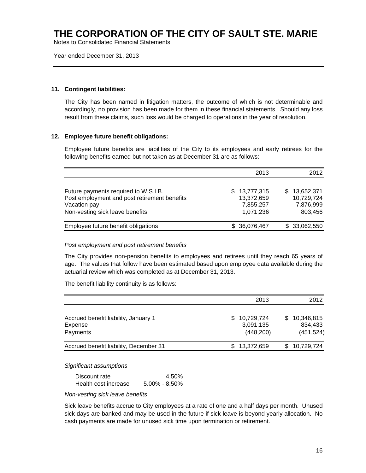Notes to Consolidated Financial Statements

Year ended December 31, 2013

#### **11. Contingent liabilities:**

The City has been named in litigation matters, the outcome of which is not determinable and accordingly, no provision has been made for them in these financial statements. Should any loss result from these claims, such loss would be charged to operations in the year of resolution.

#### **12. Employee future benefit obligations:**

Employee future benefits are liabilities of the City to its employees and early retirees for the following benefits earned but not taken as at December 31 are as follows:

|                                                                                                                                         | 2013                                                     | 2012                                                    |
|-----------------------------------------------------------------------------------------------------------------------------------------|----------------------------------------------------------|---------------------------------------------------------|
| Future payments required to W.S.I.B.<br>Post employment and post retirement benefits<br>Vacation pay<br>Non-vesting sick leave benefits | 13,777,315<br>S.<br>13,372,659<br>7,855,257<br>1,071,236 | 13,652,371<br>SS.<br>10,729,724<br>7,876,999<br>803,456 |
| Employee future benefit obligations                                                                                                     | \$ 36,076,467                                            | \$ 33,062,550                                           |

#### *Post employment and post retirement benefits*

The City provides non-pension benefits to employees and retirees until they reach 65 years of age. The values that follow have been estimated based upon employee data available during the actuarial review which was completed as at December 31, 2013.

The benefit liability continuity is as follows:

|                                                             | 2013                                         | 2012                                      |
|-------------------------------------------------------------|----------------------------------------------|-------------------------------------------|
| Accrued benefit liability, January 1<br>Expense<br>Payments | 10,729,724<br>SS.<br>3,091,135<br>(448, 200) | 10,346,815<br>S.<br>834,433<br>(451, 524) |
| Accrued benefit liability, December 31                      | 13,372,659                                   | \$10,729,724                              |

*Significant assumptions* 

| Discount rate        | 4.50%             |
|----------------------|-------------------|
| Health cost increase | $5.00\% - 8.50\%$ |

*Non-vesting sick leave benefits* 

Sick leave benefits accrue to City employees at a rate of one and a half days per month. Unused sick days are banked and may be used in the future if sick leave is beyond yearly allocation. No cash payments are made for unused sick time upon termination or retirement.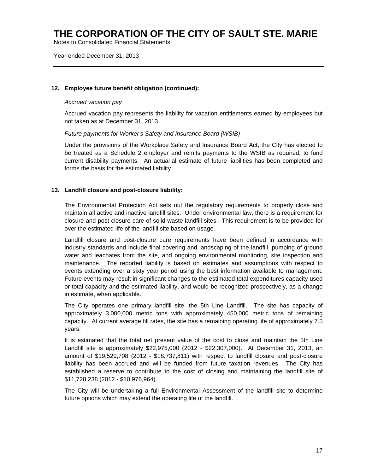Notes to Consolidated Financial Statements

Year ended December 31, 2013

#### **12. Employee future benefit obligation (continued):**

#### *Accrued vacation pay*

Accrued vacation pay represents the liability for vacation entitlements earned by employees but not taken as at December 31, 2013.

#### *Future payments for Worker's Safety and Insurance Board (WSIB)*

Under the provisions of the Workplace Safety and Insurance Board Act, the City has elected to be treated as a Schedule 2 employer and remits payments to the WSIB as required, to fund current disability payments. An actuarial estimate of future liabilities has been completed and forms the basis for the estimated liability.

#### **13. Landfill closure and post-closure liability:**

The Environmental Protection Act sets out the regulatory requirements to properly close and maintain all active and inactive landfill sites. Under environmental law, there is a requirement for closure and post-closure care of solid waste landfill sites. This requirement is to be provided for over the estimated life of the landfill site based on usage.

Landfill closure and post-closure care requirements have been defined in accordance with industry standards and include final covering and landscaping of the landfill, pumping of ground water and leachates from the site, and ongoing environmental monitoring, site inspection and maintenance. The reported liability is based on estimates and assumptions with respect to events extending over a sixty year period using the best information available to management. Future events may result in significant changes to the estimated total expenditures capacity used or total capacity and the estimated liability, and would be recognized prospectively, as a change in estimate, when applicable.

The City operates one primary landfill site, the 5th Line Landfill. The site has capacity of approximately 3,000,000 metric tons with approximately 450,000 metric tons of remaining capacity. At current average fill rates, the site has a remaining operating life of approximately 7.5 years.

It is estimated that the total net present value of the cost to close and maintain the 5th Line Landfill site is approximately \$22,975,000 (2012 - \$22,307,000). At December 31, 2013, an amount of \$19,529,708 (2012 - \$18,737,811) with respect to landfill closure and post-closure liability has been accrued and will be funded from future taxation revenues. The City has established a reserve to contribute to the cost of closing and maintaining the landfill site of \$11,728,238 (2012 - \$10,976,964).

The City will be undertaking a full Environmental Assessment of the landfill site to determine future options which may extend the operating life of the landfill.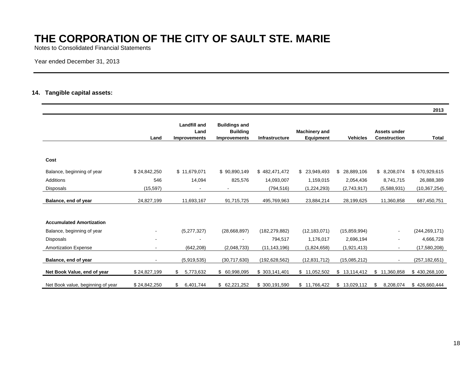Notes to Consolidated Financial Statements

Year ended December 31, 2013

#### **14. Tangible capital assets:**

|                                   |                          |                                                    |                                                                |                 |                                          |                  |                                     | 2013            |
|-----------------------------------|--------------------------|----------------------------------------------------|----------------------------------------------------------------|-----------------|------------------------------------------|------------------|-------------------------------------|-----------------|
|                                   | Land                     | <b>Landfill and</b><br>Land<br><b>Improvements</b> | <b>Buildings and</b><br><b>Building</b><br><b>Improvements</b> | Infrastructure  | <b>Machinery and</b><br><b>Equipment</b> | <b>Vehicles</b>  | Assets under<br><b>Construction</b> | Total           |
| Cost                              |                          |                                                    |                                                                |                 |                                          |                  |                                     |                 |
| Balance, beginning of year        | \$24,842,250             | \$11,679,071                                       | \$90,890,149                                                   | \$482,471,472   | \$ 23,949,493                            | \$<br>28,889,106 | \$8,208,074                         | \$670,929,615   |
| <b>Additions</b>                  | 546                      | 14,094                                             | 825,576                                                        | 14,093,007      | 1,159,015                                | 2,054,436        | 8,741,715                           | 26,888,389      |
| <b>Disposals</b>                  | (15, 597)                |                                                    |                                                                | (794, 516)      | (1,224,293)                              | (2,743,917)      | (5,588,931)                         | (10, 367, 254)  |
| Balance, end of year              | 24,827,199               | 11,693,167                                         | 91,715,725                                                     | 495,769,963     | 23,884,214                               | 28,199,625       | 11,360,858                          | 687,450,751     |
| <b>Accumulated Amortization</b>   |                          |                                                    |                                                                |                 |                                          |                  |                                     |                 |
| Balance, beginning of year        |                          | (5,277,327)                                        | (28,668,897)                                                   | (182, 279, 882) | (12, 183, 071)                           | (15, 859, 994)   |                                     | (244, 269, 171) |
| <b>Disposals</b>                  |                          |                                                    |                                                                | 794,517         | 1,176,017                                | 2,696,194        |                                     | 4,666,728       |
| <b>Amortization Expense</b>       |                          | (642, 208)                                         | (2,048,733)                                                    | (11, 143, 196)  | (1,824,658)                              | (1,921,413)      | $\overline{\phantom{a}}$            | (17,580,208)    |
| Balance, end of year              | $\overline{\phantom{a}}$ | (5,919,535)                                        | (30,717,630)                                                   | (192, 628, 562) | (12, 831, 712)                           | (15,085,212)     | $\sim$                              | (257, 182, 651) |
| Net Book Value, end of year       | \$24,827,199             | \$<br>5,773,632                                    | \$ 60,998,095                                                  | \$ 303,141,401  | \$11,052,502                             | \$13,114,412     | \$<br>11,360,858                    | \$430,268,100   |
| Net Book value, beginning of year | \$24,842,250             | 6,401,744<br>\$                                    | \$62,221,252                                                   | \$300,191,590   | \$11,766,422                             | \$13,029,112     | \$<br>8,208,074                     | \$426,660,444   |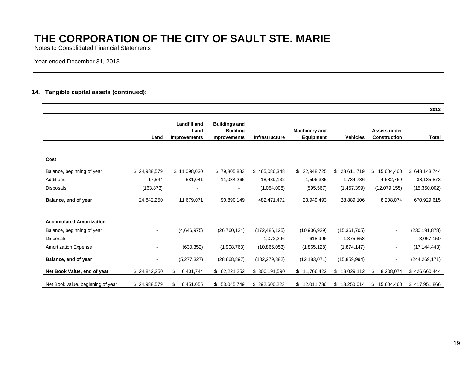Notes to Consolidated Financial Statements

Year ended December 31, 2013

#### **14. Tangible capital assets (continued):**

|                                   |                |                                                    |                                                                |                 |                                   |                  |                                     | 2012              |
|-----------------------------------|----------------|----------------------------------------------------|----------------------------------------------------------------|-----------------|-----------------------------------|------------------|-------------------------------------|-------------------|
|                                   | Land           | <b>Landfill and</b><br>Land<br><b>Improvements</b> | <b>Buildings and</b><br><b>Building</b><br><b>Improvements</b> | Infrastructure  | Machinery and<br><b>Equipment</b> | <b>Vehicles</b>  | Assets under<br><b>Construction</b> | <b>Total</b>      |
| Cost                              |                |                                                    |                                                                |                 |                                   |                  |                                     |                   |
| Balance, beginning of year        | \$24,988,579   | \$11,098,030                                       | \$79,805,883                                                   | \$465,086,348   | \$ 22,948,725                     | \$ 28,611,719    | \$<br>15,604,460                    | \$<br>648,143,744 |
| <b>Additions</b>                  | 17,544         | 581,041                                            | 11,084,266                                                     | 18,439,132      | 1,596,335                         | 1,734,786        | 4,682,769                           | 38,135,873        |
| <b>Disposals</b>                  | (163, 873)     |                                                    | $\blacksquare$                                                 | (1,054,008)     | (595, 567)                        | (1, 457, 399)    | (12,079,155)                        | (15,350,002)      |
| Balance, end of year              | 24,842,250     | 11,679,071                                         | 90,890,149                                                     | 482,471,472     | 23,949,493                        | 28,889,106       | 8,208,074                           | 670,929,615       |
| <b>Accumulated Amortization</b>   |                |                                                    |                                                                |                 |                                   |                  |                                     |                   |
| Balance, beginning of year        | $\blacksquare$ | (4,646,975)                                        | (26, 760, 134)                                                 | (172, 486, 125) | (10, 936, 939)                    | (15, 361, 705)   | $\blacksquare$                      | (230, 191, 878)   |
| <b>Disposals</b>                  |                |                                                    |                                                                | 1,072,296       | 618,996                           | 1,375,858        |                                     | 3,067,150         |
| <b>Amortization Expense</b>       |                | (630, 352)                                         | (1,908,763)                                                    | (10,866,053)    | (1,865,128)                       | (1,874,147)      |                                     | (17, 144, 443)    |
| Balance, end of year              |                | (5,277,327)                                        | (28,668,897)                                                   | (182, 279, 882) | (12, 183, 071)                    | (15, 859, 994)   | $\sim$                              | (244, 269, 171)   |
| Net Book Value, end of year       | \$24,842,250   | \$<br>6,401,744                                    | \$62,221,252                                                   | \$ 300,191,590  | \$11,766,422                      | 13,029,112<br>\$ | \$<br>8,208,074                     | \$426,660,444     |
| Net Book value, beginning of year | \$24,988,579   | \$<br>6,451,055                                    | \$53,045,749                                                   | \$292,600,223   | \$12,011,786                      | \$13,250,014     | \$15,604,460                        | \$417,951,866     |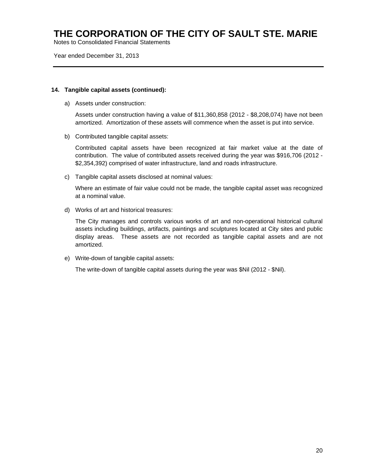Notes to Consolidated Financial Statements

Year ended December 31, 2013

#### **14. Tangible capital assets (continued):**

a) Assets under construction:

Assets under construction having a value of \$11,360,858 (2012 - \$8,208,074) have not been amortized. Amortization of these assets will commence when the asset is put into service.

b) Contributed tangible capital assets:

Contributed capital assets have been recognized at fair market value at the date of contribution. The value of contributed assets received during the year was \$916,706 (2012 - \$2,354,392) comprised of water infrastructure, land and roads infrastructure.

c) Tangible capital assets disclosed at nominal values:

Where an estimate of fair value could not be made, the tangible capital asset was recognized at a nominal value.

d) Works of art and historical treasures:

The City manages and controls various works of art and non-operational historical cultural assets including buildings, artifacts, paintings and sculptures located at City sites and public display areas. These assets are not recorded as tangible capital assets and are not amortized.

e) Write-down of tangible capital assets:

The write-down of tangible capital assets during the year was \$Nil (2012 - \$Nil).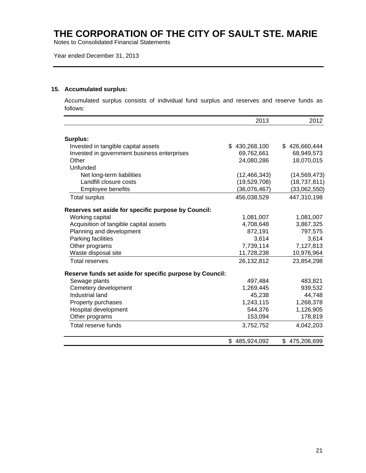Notes to Consolidated Financial Statements

#### **15. Accumulated surplus:**

Accumulated surplus consists of individual fund surplus and reserves and reserve funds as follows:

| <b>Surplus:</b>                                           | \$426,660,444  |
|-----------------------------------------------------------|----------------|
|                                                           |                |
|                                                           |                |
| \$430,268,100<br>Invested in tangible capital assets      |                |
| Invested in government business enterprises<br>69,762,661 | 68,949,573     |
| Other<br>24,080,286                                       | 18,070,015     |
| Unfunded                                                  |                |
| Net long-term liabilities<br>(12, 466, 343)               | (14, 569, 473) |
| (19,529,708)<br>Landfill closure costs                    | (18, 737, 811) |
| <b>Employee benefits</b><br>(36,076,467)                  | (33,062,550)   |
| <b>Total surplus</b><br>456,038,529                       | 447,310,198    |
| Reserves set aside for specific purpose by Council:       |                |
| Working capital<br>1,081,007                              | 1,081,007      |
| Acquisition of tangible capital assets<br>4,708,648       | 3,867,325      |
| Planning and development<br>872,191                       | 797,575        |
| Parking facilities<br>3,614                               | 3,614          |
| Other programs<br>7,739,114                               | 7,127,813      |
| Waste disposal site<br>11,728,238                         | 10,976,964     |
| <b>Total reserves</b><br>26,132,812                       | 23,854,298     |
| Reserve funds set aside for specific purpose by Council:  |                |
| Sewage plants<br>497,484                                  | 483,821        |
| Cemetery development<br>1,269,445                         | 939,532        |
| Industrial land<br>45,238                                 | 44,748         |
| Property purchases<br>1,243,115                           | 1,268,378      |
| Hospital development<br>544,376                           | 1,126,905      |
| Other programs<br>153,094                                 | 178,819        |
| Total reserve funds<br>3,752,752                          | 4,042,203      |
| \$485,924,092                                             | \$475,206,699  |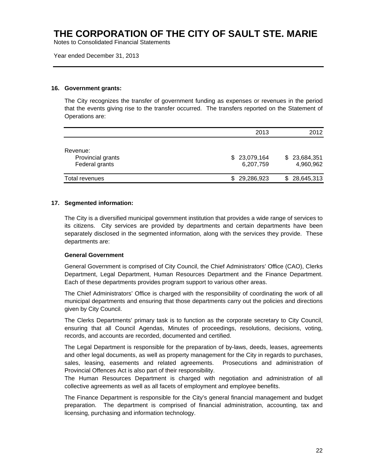Notes to Consolidated Financial Statements

Year ended December 31, 2013

#### **16. Government grants:**

The City recognizes the transfer of government funding as expenses or revenues in the period that the events giving rise to the transfer occurred. The transfers reported on the Statement of Operations are:

|                                                 | 2013                      | 2012                      |
|-------------------------------------------------|---------------------------|---------------------------|
| Revenue:<br>Provincial grants<br>Federal grants | \$23,079,164<br>6,207,759 | \$23,684,351<br>4,960,962 |
| Total revenues                                  | 29,286,923<br>S.          | \$28,645,313              |

#### **17. Segmented information:**

The City is a diversified municipal government institution that provides a wide range of services to its citizens. City services are provided by departments and certain departments have been separately disclosed in the segmented information, along with the services they provide. These departments are:

#### **General Government**

General Government is comprised of City Council, the Chief Administrators' Office (CAO), Clerks Department, Legal Department, Human Resources Department and the Finance Department. Each of these departments provides program support to various other areas.

The Chief Administrators' Office is charged with the responsibility of coordinating the work of all municipal departments and ensuring that those departments carry out the policies and directions given by City Council.

The Clerks Departments' primary task is to function as the corporate secretary to City Council, ensuring that all Council Agendas, Minutes of proceedings, resolutions, decisions, voting, records, and accounts are recorded, documented and certified.

The Legal Department is responsible for the preparation of by-laws, deeds, leases, agreements and other legal documents, as well as property management for the City in regards to purchases, sales, leasing, easements and related agreements. Prosecutions and administration of Provincial Offences Act is also part of their responsibility.

The Human Resources Department is charged with negotiation and administration of all collective agreements as well as all facets of employment and employee benefits.

The Finance Department is responsible for the City's general financial management and budget preparation. The department is comprised of financial administration, accounting, tax and licensing, purchasing and information technology.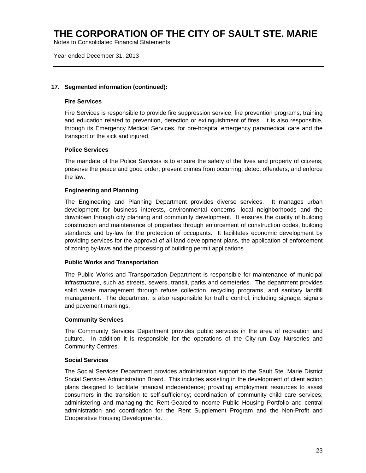Notes to Consolidated Financial Statements

Year ended December 31, 2013

#### **17. Segmented information (continued):**

#### **Fire Services**

Fire Services is responsible to provide fire suppression service; fire prevention programs; training and education related to prevention, detection or extinguishment of fires. It is also responsible, through its Emergency Medical Services, for pre-hospital emergency paramedical care and the transport of the sick and injured.

#### **Police Services**

The mandate of the Police Services is to ensure the safety of the lives and property of citizens; preserve the peace and good order; prevent crimes from occurring; detect offenders; and enforce the law.

#### **Engineering and Planning**

The Engineering and Planning Department provides diverse services. It manages urban development for business interests, environmental concerns, local neighborhoods and the downtown through city planning and community development. It ensures the quality of building construction and maintenance of properties through enforcement of construction codes, building standards and by-law for the protection of occupants. It facilitates economic development by providing services for the approval of all land development plans, the application of enforcement of zoning by-laws and the processing of building permit applications

#### **Public Works and Transportation**

The Public Works and Transportation Department is responsible for maintenance of municipal infrastructure, such as streets, sewers, transit, parks and cemeteries. The department provides solid waste management through refuse collection, recycling programs, and sanitary landfill management. The department is also responsible for traffic control, including signage, signals and pavement markings.

#### **Community Services**

The Community Services Department provides public services in the area of recreation and culture. In addition it is responsible for the operations of the City-run Day Nurseries and Community Centres.

#### **Social Services**

The Social Services Department provides administration support to the Sault Ste. Marie District Social Services Administration Board. This includes assisting in the development of client action plans designed to facilitate financial independence; providing employment resources to assist consumers in the transition to self-sufficiency; coordination of community child care services; administering and managing the Rent-Geared-to-Income Public Housing Portfolio and central administration and coordination for the Rent Supplement Program and the Non-Profit and Cooperative Housing Developments.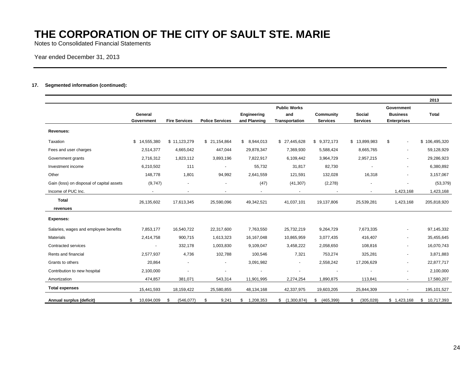Notes to Consolidated Financial Statements

Year ended December 31, 2013

#### **17. Segmented information (continued):**

|                                           |                          |                      |                          |                             |                                                     |                              |                           |                                                     | 2013             |
|-------------------------------------------|--------------------------|----------------------|--------------------------|-----------------------------|-----------------------------------------------------|------------------------------|---------------------------|-----------------------------------------------------|------------------|
|                                           | General<br>Government    | <b>Fire Services</b> | <b>Police Services</b>   | Engineering<br>and Planning | <b>Public Works</b><br>and<br><b>Transportation</b> | Community<br><b>Services</b> | Social<br><b>Services</b> | Government<br><b>Business</b><br><b>Enterprises</b> | <b>Total</b>     |
| Revenues:                                 |                          |                      |                          |                             |                                                     |                              |                           |                                                     |                  |
| Taxation                                  | 14,555,380<br>\$         | \$11,123,279         | \$21,154,864             | 8,944,013<br>\$             | \$ 27,445,628                                       | \$9,372,173                  | 13,899,983<br>\$          | \$<br>$\sim$                                        | \$106,495,320    |
| Fees and user charges                     | 2,514,377                | 4,665,042            | 447,044                  | 29,878,347                  | 7,369,930                                           | 5,588,424                    | 8,665,765                 | ۰                                                   | 59,128,929       |
| Government grants                         | 2,716,312                | 1,823,112            | 3,893,196                | 7,822,917                   | 6,109,442                                           | 3,964,729                    | 2,957,215                 | $\blacksquare$                                      | 29,286,923       |
| Investment income                         | 6,210,502                | 111                  |                          | 55,732                      | 31,817                                              | 82,730                       |                           | $\overline{a}$                                      | 6,380,892        |
| Other                                     | 148,778                  | 1,801                | 94,992                   | 2,641,559                   | 121,591                                             | 132,028                      | 16,318                    | $\overline{a}$                                      | 3,157,067        |
| Gain (loss) on disposal of capital assets | (9,747)                  |                      |                          | (47)                        | (41, 307)                                           | (2, 278)                     |                           |                                                     | (53, 379)        |
| Income of PUC Inc.                        |                          | $\sim$               | $\overline{\phantom{a}}$ |                             |                                                     |                              | $\sim$                    | 1,423,168                                           | 1,423,168        |
| <b>Total</b>                              | 26,135,602               | 17,613,345           | 25,590,096               | 49,342,521                  | 41,037,101                                          | 19,137,806                   | 25,539,281                | 1,423,168                                           | 205,818,920      |
| revenues                                  |                          |                      |                          |                             |                                                     |                              |                           |                                                     |                  |
| <b>Expenses:</b>                          |                          |                      |                          |                             |                                                     |                              |                           |                                                     |                  |
| Salaries, wages and employee benefits     | 7,853,177                | 16,540,722           | 22,317,600               | 7,763,550                   | 25,732,219                                          | 9,264,729                    | 7,673,335                 | $\overline{a}$                                      | 97,145,332       |
| <b>Materials</b>                          | 2,414,758                | 900,715              | 1,613,323                | 16,167,048                  | 10,865,959                                          | 3,077,435                    | 416,407                   |                                                     | 35,455,645       |
| Contracted services                       | $\overline{\phantom{a}}$ | 332,178              | 1,003,830                | 9,109,047                   | 3,458,222                                           | 2,058,650                    | 108,816                   | $\overline{a}$                                      | 16,070,743       |
| Rents and financial                       | 2,577,937                | 4,736                | 102,788                  | 100,546                     | 7,321                                               | 753,274                      | 325,281                   |                                                     | 3,871,883        |
| Grants to others                          | 20,864                   |                      |                          | 3,091,982                   |                                                     | 2,558,242                    | 17,206,629                | $\blacksquare$                                      | 22,877,717       |
| Contribution to new hospital              | 2,100,000                |                      |                          |                             |                                                     |                              |                           |                                                     | 2,100,000        |
| Amortization                              | 474,857                  | 381,071              | 543,314                  | 11,901,995                  | 2,274,254                                           | 1,890,875                    | 113,841                   |                                                     | 17,580,207       |
| <b>Total expenses</b>                     | 15,441,593               | 18,159,422           | 25,580,855               | 48,134,168                  | 42,337,975                                          | 19,603,205                   | 25,844,309                |                                                     | 195,101,527      |
| Annual surplus (deficit)                  | 10,694,009<br>\$         | (546, 077)<br>\$     | \$<br>9,241              | \$<br>1,208,353             | \$(1,300,874)                                       | \$<br>(465, 399)             | \$<br>(305, 028)          | \$1,423,168                                         | 10,717,393<br>\$ |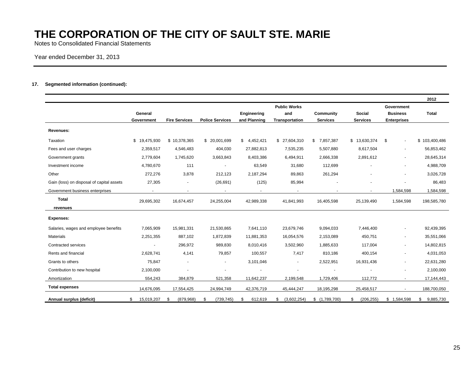Notes to Consolidated Financial Statements

Year ended December 31, 2013

#### **17. Segmented information (continued):**

|                                           |                       |                          |                        |                             |                                                     |                              |                           |                                                     | 2012            |
|-------------------------------------------|-----------------------|--------------------------|------------------------|-----------------------------|-----------------------------------------------------|------------------------------|---------------------------|-----------------------------------------------------|-----------------|
|                                           | General<br>Government | <b>Fire Services</b>     | <b>Police Services</b> | Engineering<br>and Planning | <b>Public Works</b><br>and<br><b>Transportation</b> | Community<br><b>Services</b> | Social<br><b>Services</b> | Government<br><b>Business</b><br><b>Enterprises</b> | <b>Total</b>    |
| <b>Revenues:</b>                          |                       |                          |                        |                             |                                                     |                              |                           |                                                     |                 |
| Taxation                                  | \$<br>19,475,930      | \$10,378,365             | \$ 20,001,699          | \$4,452,421                 | \$ 27,604,310                                       | \$<br>7,857,387              | \$13,630,374              | \$<br>$\sim$                                        | \$103,400,486   |
| Fees and user charges                     | 2,359,517             | 4,546,483                | 404,030                | 27,882,813                  | 7,535,235                                           | 5,507,880                    | 8,617,504                 |                                                     | 56,853,462      |
| Government grants                         | 2,779,604             | 1,745,620                | 3,663,843              | 8,403,386                   | 6,494,911                                           | 2,666,338                    | 2,891,612                 |                                                     | 28,645,314      |
| Investment income                         | 4,780,670             | 111                      |                        | 63,549                      | 31,680                                              | 112,699                      |                           | ٠                                                   | 4,988,709       |
| Other                                     | 272,276               | 3,878                    | 212,123                | 2,187,294                   | 89,863                                              | 261,294                      |                           |                                                     | 3,026,728       |
| Gain (loss) on disposal of capital assets | 27,305                | $\blacksquare$           | (26, 691)              | (125)                       | 85,994                                              |                              |                           |                                                     | 86,483          |
| Government business enterprises           |                       | $\blacksquare$           |                        |                             |                                                     |                              |                           | 1,584,598                                           | 1,584,598       |
| <b>Total</b>                              | 29,695,302            | 16,674,457               | 24,255,004             | 42,989,338                  | 41,841,993                                          | 16,405,598                   | 25,139,490                | 1,584,598                                           | 198,585,780     |
| revenues                                  |                       |                          |                        |                             |                                                     |                              |                           |                                                     |                 |
| <b>Expenses:</b>                          |                       |                          |                        |                             |                                                     |                              |                           |                                                     |                 |
| Salaries, wages and employee benefits     | 7,065,909             | 15,981,331               | 21,530,865             | 7,641,110                   | 23,679,746                                          | 9,094,033                    | 7,446,400                 | $\blacksquare$                                      | 92,439,395      |
| <b>Materials</b>                          | 2,251,355             | 887,102                  | 1,872,839              | 11,881,353                  | 16,054,576                                          | 2,153,089                    | 450,751                   |                                                     | 35,551,066      |
| Contracted services                       |                       | 296,972                  | 989,830                | 8,010,416                   | 3,502,960                                           | 1,885,633                    | 117,004                   | $\blacksquare$                                      | 14,802,815      |
| Rents and financial                       | 2,628,741             | 4,141                    | 79,857                 | 100,557                     | 7,417                                               | 810,186                      | 400,154                   |                                                     | 4,031,053       |
| Grants to others                          | 75,847                | $\overline{\phantom{a}}$ |                        | 3,101,046                   |                                                     | 2,522,951                    | 16,931,436                |                                                     | 22,631,280      |
| Contribution to new hospital              | 2,100,000             |                          |                        |                             |                                                     |                              |                           |                                                     | 2,100,000       |
| Amortization                              | 554,243               | 384,879                  | 521,358                | 11,642,237                  | 2,199,548                                           | 1,729,406                    | 112,772                   |                                                     | 17,144,443      |
| <b>Total expenses</b>                     | 14,676,095            | 17,554,425               | 24,994,749             | 42,376,719                  | 45,444,247                                          | 18,195,298                   | 25,458,517                |                                                     | 188,700,050     |
| Annual surplus (deficit)                  | 15,019,207<br>S       | (879,968)<br>S           | (739, 745)<br>\$       | 612,619<br>\$               | (3,602,254)<br>\$                                   | \$(1,789,700)                | (206, 255)<br>S.          | \$1,584,598                                         | 9,885,730<br>\$ |